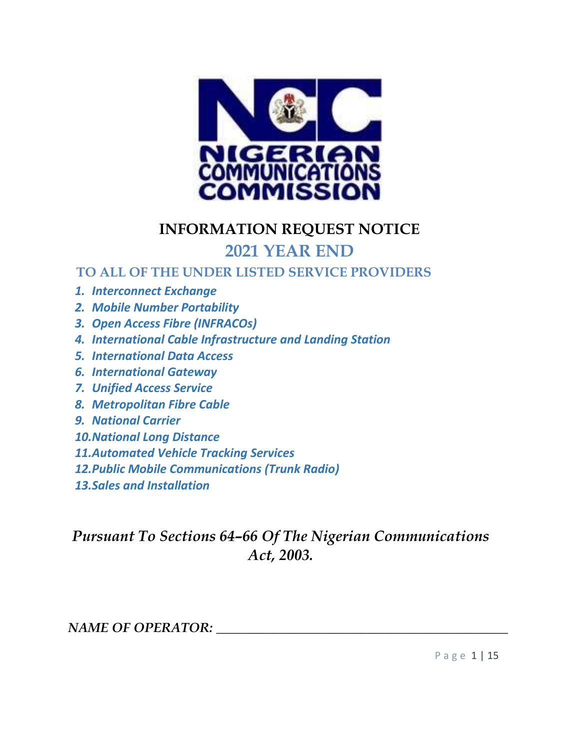

### **INFORMATION REQUEST NOTICE**

## **2021 YEAR END**

### **TO ALL OF THE UNDER LISTED SERVICE PROVIDERS**

- *1. Interconnect Exchange*
- *2. Mobile Number Portability*
- *3. Open Access Fibre (INFRACOs)*
- *4. International Cable Infrastructure and Landing Station*
- *5. International Data Access*
- *6. International Gateway*
- *7. Unified Access Service*
- *8. Metropolitan Fibre Cable*
- *9. National Carrier*
- *10.National Long Distance*
- *11.Automated Vehicle Tracking Services*
- *12.Public Mobile Communications (Trunk Radio)*
- *13.Sales and Installation*

## *Pursuant To Sections 64–66 Of The Nigerian Communications Act, 2003.*

#### *NAME OF OPERATOR: \_\_\_\_\_\_\_\_\_\_\_\_\_\_\_\_\_\_\_\_\_\_\_\_\_\_\_\_\_\_\_\_\_\_\_\_\_\_\_\_\_\_\_\_*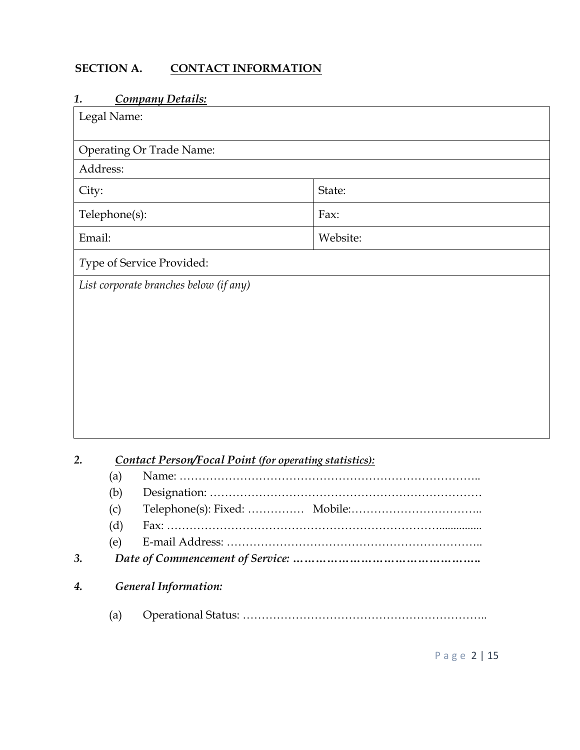#### **SECTION A. CONTACT INFORMATION**

#### *1. Company Details:*

| Legal Name:   |                                                               |                               |
|---------------|---------------------------------------------------------------|-------------------------------|
|               | <b>Operating Or Trade Name:</b>                               |                               |
| Address:      |                                                               |                               |
| City:         |                                                               | State:                        |
| Telephone(s): |                                                               | Fax:                          |
| Email:        |                                                               | Website:                      |
|               | Type of Service Provided:                                     |                               |
|               | List corporate branches below (if any)                        |                               |
|               |                                                               |                               |
|               |                                                               |                               |
|               |                                                               |                               |
|               |                                                               |                               |
|               |                                                               |                               |
|               |                                                               |                               |
|               |                                                               |                               |
|               |                                                               |                               |
| 2.            |                                                               |                               |
| (a)           | <b>Contact Person/Focal Point (for operating statistics):</b> |                               |
| (b)           |                                                               |                               |
| (c)           |                                                               | Telephone(s): Fixed:  Mobile: |
| (d)           |                                                               |                               |
| (e)           |                                                               |                               |

#### *3. Date of Commencement of Service:* **…………………………………………..**

### *4. General Information:*

(a) Operational Status: ………………………………………………………..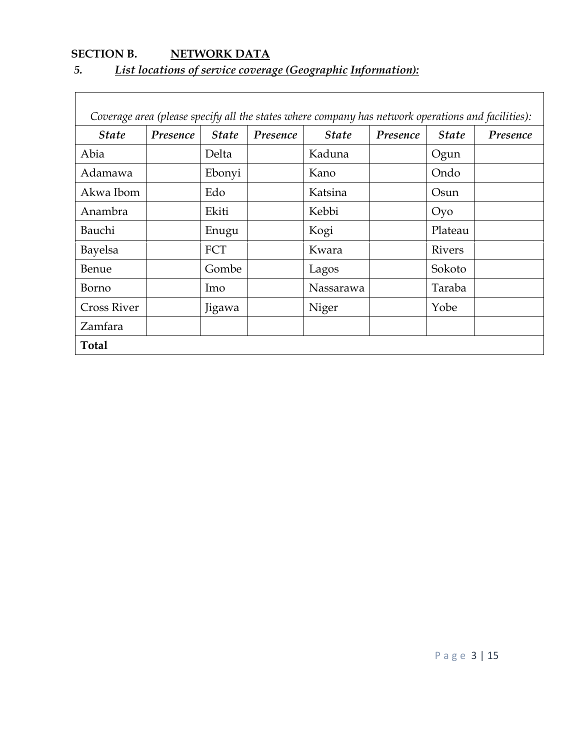# **SECTION B.** NETWORK DATA

### *5. List locations of service coverage (Geographic Information):*

| Coverage area (please specify all the states where company has network operations and facilities): |          |                     |          |              |          |               |          |
|----------------------------------------------------------------------------------------------------|----------|---------------------|----------|--------------|----------|---------------|----------|
| <i><b>State</b></i>                                                                                | Presence | <i><b>State</b></i> | Presence | <b>State</b> | Presence | <b>State</b>  | Presence |
| Abia                                                                                               |          | Delta               |          | Kaduna       |          | Ogun          |          |
| Adamawa                                                                                            |          | Ebonyi              |          | Kano         |          | Ondo          |          |
| Akwa Ibom                                                                                          |          | Edo                 |          | Katsina      |          | Osun          |          |
| Anambra                                                                                            |          | Ekiti               |          | Kebbi        |          | Oyo           |          |
| Bauchi                                                                                             |          | Enugu               |          | Kogi         |          | Plateau       |          |
| Bayelsa                                                                                            |          | FCT                 |          | Kwara        |          | <b>Rivers</b> |          |
| Benue                                                                                              |          | Gombe               |          | Lagos        |          | Sokoto        |          |
| Borno                                                                                              |          | Imo                 |          | Nassarawa    |          | Taraba        |          |
| <b>Cross River</b>                                                                                 |          | Jigawa              |          | Niger        |          | Yobe          |          |
| Zamfara                                                                                            |          |                     |          |              |          |               |          |
| <b>Total</b>                                                                                       |          |                     |          |              |          |               |          |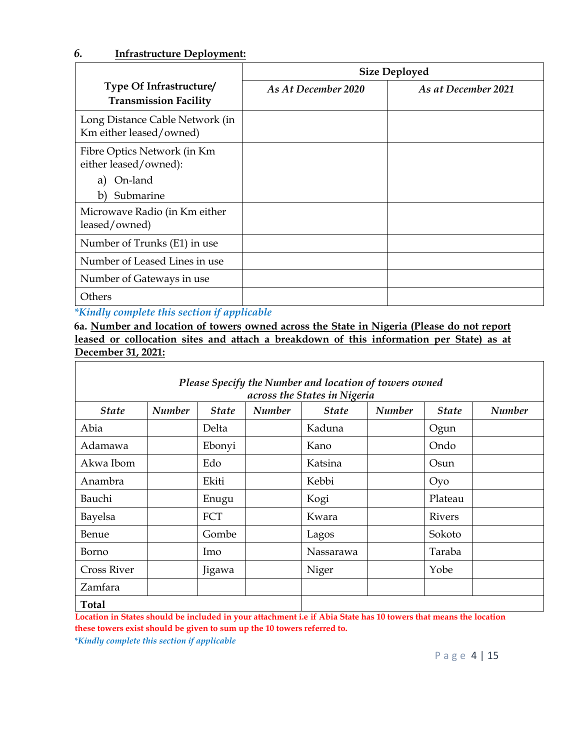#### *6.* **Infrastructure Deployment:**

|                                                            | <b>Size Deployed</b> |                     |  |
|------------------------------------------------------------|----------------------|---------------------|--|
| Type Of Infrastructure/<br><b>Transmission Facility</b>    | As At December 2020  | As at December 2021 |  |
| Long Distance Cable Network (in<br>Km either leased/owned) |                      |                     |  |
| Fibre Optics Network (in Km<br>either leased/owned):       |                      |                     |  |
| On-land<br>a)                                              |                      |                     |  |
| Submarine<br>b)                                            |                      |                     |  |
| Microwave Radio (in Km either<br>leased/owned)             |                      |                     |  |
| Number of Trunks (E1) in use                               |                      |                     |  |
| Number of Leased Lines in use                              |                      |                     |  |
| Number of Gateways in use                                  |                      |                     |  |
| Others                                                     |                      |                     |  |

*\*Kindly complete this section if applicable*

**6a. Number and location of towers owned across the State in Nigeria (Please do not report leased or collocation sites and attach a breakdown of this information per State) as at December 31, 2021:**

| Please Specify the Number and location of towers owned<br>across the States in Nigeria |               |              |               |              |               |               |               |
|----------------------------------------------------------------------------------------|---------------|--------------|---------------|--------------|---------------|---------------|---------------|
| <b>State</b>                                                                           | <b>Number</b> | <b>State</b> | <b>Number</b> | <b>State</b> | <b>Number</b> | <b>State</b>  | <b>Number</b> |
| Abia                                                                                   |               | Delta        |               | Kaduna       |               | Ogun          |               |
| Adamawa                                                                                |               | Ebonyi       |               | Kano         |               | Ondo          |               |
| Akwa Ibom                                                                              |               | Edo          |               | Katsina      |               | Osun          |               |
| Anambra                                                                                |               | Ekiti        |               | Kebbi        |               | Oyo           |               |
| Bauchi                                                                                 |               | Enugu        |               | Kogi         |               | Plateau       |               |
| Bayelsa                                                                                |               | FCT          |               | Kwara        |               | <b>Rivers</b> |               |
| Benue                                                                                  |               | Gombe        |               | Lagos        |               | Sokoto        |               |
| Borno                                                                                  |               | Imo          |               | Nassarawa    |               | Taraba        |               |
| <b>Cross River</b>                                                                     |               | Jigawa       |               | Niger        |               | Yobe          |               |
| Zamfara                                                                                |               |              |               |              |               |               |               |
| <b>Total</b>                                                                           |               |              |               |              |               |               |               |

**Location in States should be included in your attachment i.e if Abia State has 10 towers that means the location these towers exist should be given to sum up the 10 towers referred to.**

*\*Kindly complete this section if applicable*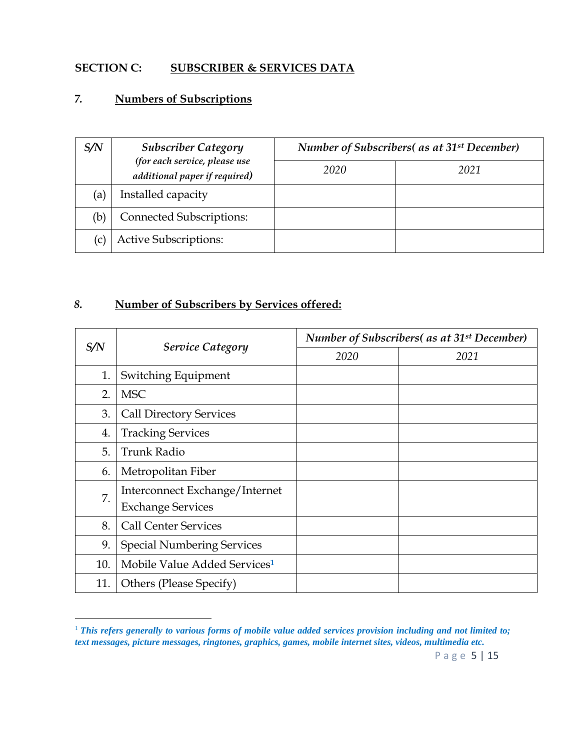#### **SECTION C: SUBSCRIBER & SERVICES DATA**

#### *7.* **Numbers of Subscriptions**

 $\ddot{\phantom{a}}$ 

| S/N | <b>Subscriber Category</b><br>(for each service, please use<br>additional paper if required) | Number of Subscribers( as at 31 <sup>st</sup> December) |      |  |
|-----|----------------------------------------------------------------------------------------------|---------------------------------------------------------|------|--|
|     |                                                                                              | 2020                                                    | 2021 |  |
| (a) | Installed capacity                                                                           |                                                         |      |  |
| (b) | <b>Connected Subscriptions:</b>                                                              |                                                         |      |  |
| (C) | <b>Active Subscriptions:</b>                                                                 |                                                         |      |  |

### *8.* **Number of Subscribers by Services offered:**

|     | <b>Service Category</b>                  | <b>Number of Subscribers</b> (as at 31 <sup>st</sup> December) |      |  |
|-----|------------------------------------------|----------------------------------------------------------------|------|--|
| S/N |                                          | 2020                                                           | 2021 |  |
| 1.  | Switching Equipment                      |                                                                |      |  |
| 2.  | <b>MSC</b>                               |                                                                |      |  |
| 3.  | <b>Call Directory Services</b>           |                                                                |      |  |
| 4.  | <b>Tracking Services</b>                 |                                                                |      |  |
| 5.  | <b>Trunk Radio</b>                       |                                                                |      |  |
| 6.  | Metropolitan Fiber                       |                                                                |      |  |
| 7.  | Interconnect Exchange/Internet           |                                                                |      |  |
|     | <b>Exchange Services</b>                 |                                                                |      |  |
| 8.  | <b>Call Center Services</b>              |                                                                |      |  |
| 9.  | <b>Special Numbering Services</b>        |                                                                |      |  |
| 10. | Mobile Value Added Services <sup>1</sup> |                                                                |      |  |
| 11. | Others (Please Specify)                  |                                                                |      |  |

<sup>&</sup>lt;sup>1</sup> This refers generally to various forms of mobile value added services provision including and not limited to; *text messages, picture messages, ringtones, graphics, games, mobile internet sites, videos, multimedia etc.*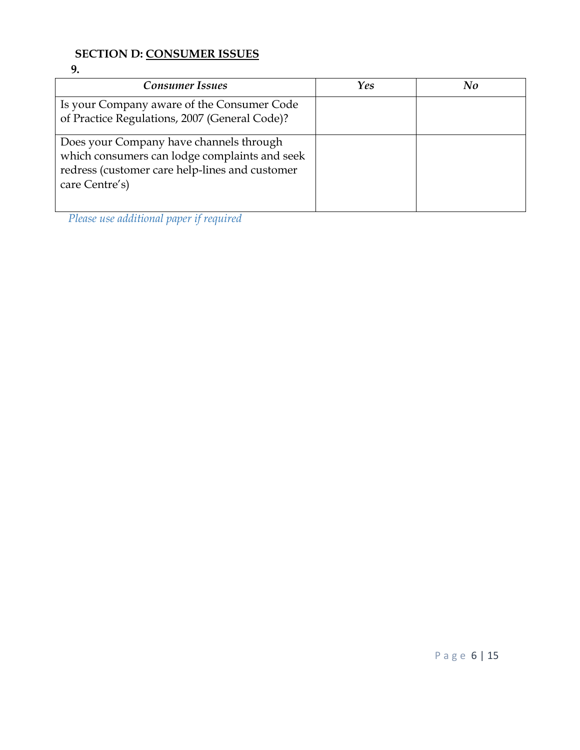### **SECTION D: CONSUMER ISSUES**

**9.**

| <b>Consumer Issues</b>                                                                                                                                       | Yes | No |
|--------------------------------------------------------------------------------------------------------------------------------------------------------------|-----|----|
| Is your Company aware of the Consumer Code<br>of Practice Regulations, 2007 (General Code)?                                                                  |     |    |
| Does your Company have channels through<br>which consumers can lodge complaints and seek<br>redress (customer care help-lines and customer<br>care Centre's) |     |    |

*Please use additional paper if required*

P a g e 6 | 15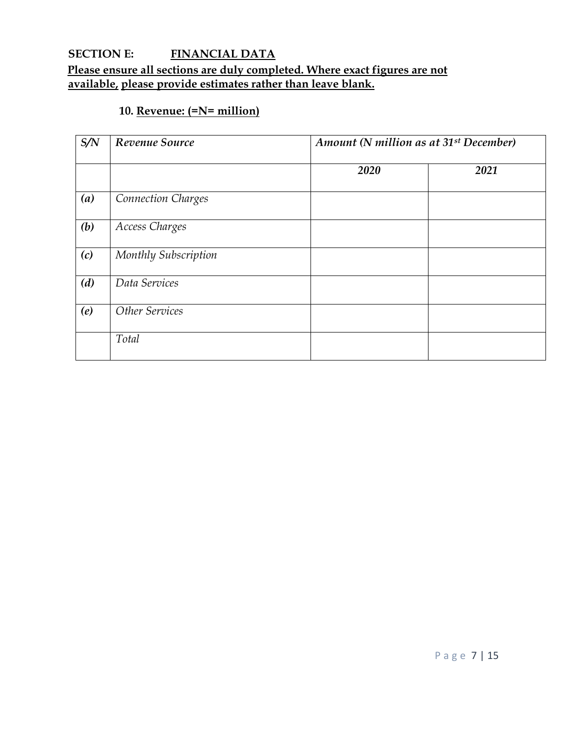#### **SECTION E: FINANCIAL DATA Please ensure all sections are duly completed. Where exact figures are not available, please provide estimates rather than leave blank.**

### **10. Revenue: (=N= million)**

| S/N | Revenue Source            |      | Amount (N million as at 31 <sup>st</sup> December) |  |  |
|-----|---------------------------|------|----------------------------------------------------|--|--|
|     |                           | 2020 | 2021                                               |  |  |
| (a) | <b>Connection Charges</b> |      |                                                    |  |  |
| (b) | Access Charges            |      |                                                    |  |  |
| (c) | Monthly Subscription      |      |                                                    |  |  |
| (d) | Data Services             |      |                                                    |  |  |
| (e) | Other Services            |      |                                                    |  |  |
|     | Total                     |      |                                                    |  |  |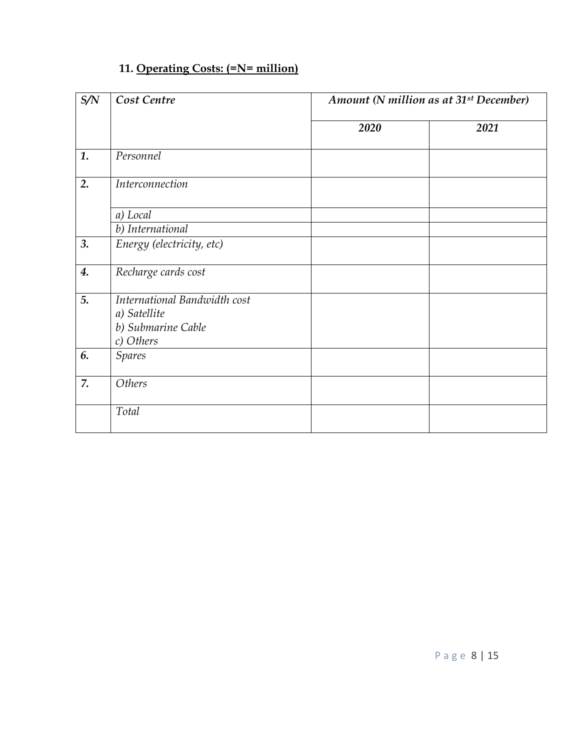### **11. Operating Costs: (=N= million)**

| S/N | Cost Centre                                                                     | Amount (N million as at 31 <sup>st</sup> December) |      |
|-----|---------------------------------------------------------------------------------|----------------------------------------------------|------|
|     |                                                                                 | 2020                                               | 2021 |
| 1.  | Personnel                                                                       |                                                    |      |
| 2.  | Interconnection                                                                 |                                                    |      |
|     | a) Local                                                                        |                                                    |      |
| 3.  | b) International<br>Energy (electricity, etc)                                   |                                                    |      |
| 4.  | Recharge cards cost                                                             |                                                    |      |
| 5.  | International Bandwidth cost<br>a) Satellite<br>b) Submarine Cable<br>c) Others |                                                    |      |
| 6.  | <b>Spares</b>                                                                   |                                                    |      |
| 7.  | Others                                                                          |                                                    |      |
|     | Total                                                                           |                                                    |      |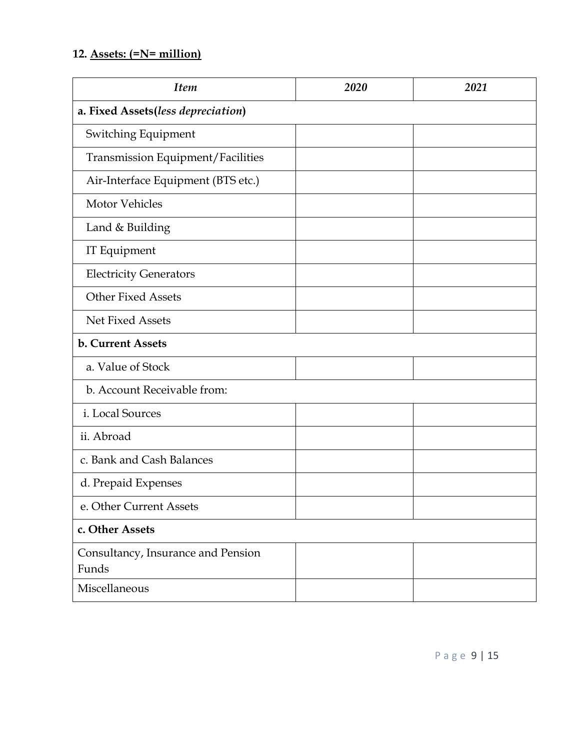### **12. Assets: (=N= million)**

| <b>Item</b>                                 | 2020 | 2021 |  |  |  |  |
|---------------------------------------------|------|------|--|--|--|--|
| a. Fixed Assets(less depreciation)          |      |      |  |  |  |  |
| Switching Equipment                         |      |      |  |  |  |  |
| <b>Transmission Equipment/Facilities</b>    |      |      |  |  |  |  |
| Air-Interface Equipment (BTS etc.)          |      |      |  |  |  |  |
| <b>Motor Vehicles</b>                       |      |      |  |  |  |  |
| Land & Building                             |      |      |  |  |  |  |
| IT Equipment                                |      |      |  |  |  |  |
| <b>Electricity Generators</b>               |      |      |  |  |  |  |
| <b>Other Fixed Assets</b>                   |      |      |  |  |  |  |
| <b>Net Fixed Assets</b>                     |      |      |  |  |  |  |
| <b>b. Current Assets</b>                    |      |      |  |  |  |  |
| a. Value of Stock                           |      |      |  |  |  |  |
| b. Account Receivable from:                 |      |      |  |  |  |  |
| i. Local Sources                            |      |      |  |  |  |  |
| ii. Abroad                                  |      |      |  |  |  |  |
| c. Bank and Cash Balances                   |      |      |  |  |  |  |
| d. Prepaid Expenses                         |      |      |  |  |  |  |
| e. Other Current Assets                     |      |      |  |  |  |  |
| c. Other Assets                             |      |      |  |  |  |  |
| Consultancy, Insurance and Pension<br>Funds |      |      |  |  |  |  |
| Miscellaneous                               |      |      |  |  |  |  |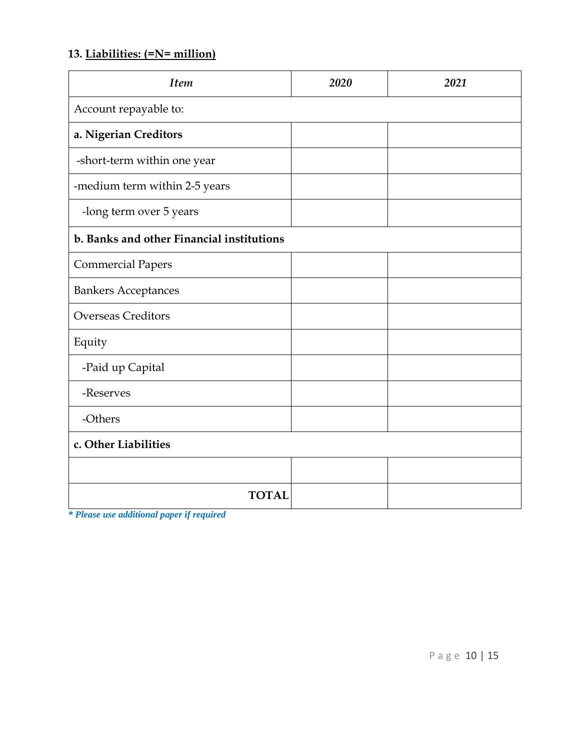### **13. Liabilities: (=N= million)**

| <b>Item</b>                               | 2020 | 2021 |  |  |  |  |
|-------------------------------------------|------|------|--|--|--|--|
| Account repayable to:                     |      |      |  |  |  |  |
| a. Nigerian Creditors                     |      |      |  |  |  |  |
| -short-term within one year               |      |      |  |  |  |  |
| -medium term within 2-5 years             |      |      |  |  |  |  |
| -long term over 5 years                   |      |      |  |  |  |  |
| b. Banks and other Financial institutions |      |      |  |  |  |  |
| <b>Commercial Papers</b>                  |      |      |  |  |  |  |
| <b>Bankers Acceptances</b>                |      |      |  |  |  |  |
| <b>Overseas Creditors</b>                 |      |      |  |  |  |  |
| Equity                                    |      |      |  |  |  |  |
| -Paid up Capital                          |      |      |  |  |  |  |
| -Reserves                                 |      |      |  |  |  |  |
| -Others                                   |      |      |  |  |  |  |
| c. Other Liabilities                      |      |      |  |  |  |  |
|                                           |      |      |  |  |  |  |
| <b>TOTAL</b>                              |      |      |  |  |  |  |

*\* Please use additional paper if required*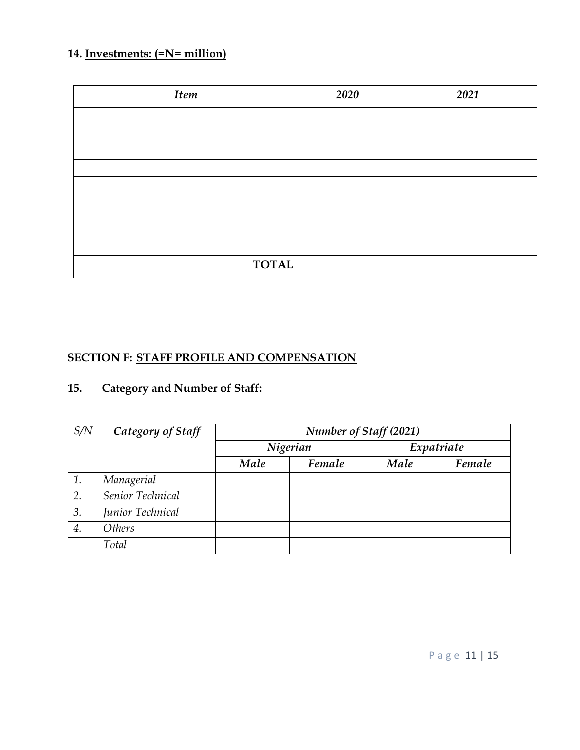### **14. Investments: (=N= million)**

| <b>Item</b>  | 2020 | 2021 |
|--------------|------|------|
|              |      |      |
|              |      |      |
|              |      |      |
|              |      |      |
|              |      |      |
|              |      |      |
|              |      |      |
|              |      |      |
| <b>TOTAL</b> |      |      |

### **SECTION F: STAFF PROFILE AND COMPENSATION**

### **15. Category and Number of Staff:**

| S/N | Category of Staff | Number of Staff (2021) |          |            |        |  |  |  |  |
|-----|-------------------|------------------------|----------|------------|--------|--|--|--|--|
|     |                   |                        | Nigerian | Expatriate |        |  |  |  |  |
|     |                   | Male                   | Female   | Male       | Female |  |  |  |  |
| 1.  | Managerial        |                        |          |            |        |  |  |  |  |
| 2.  | Senior Technical  |                        |          |            |        |  |  |  |  |
| 3.  | Junior Technical  |                        |          |            |        |  |  |  |  |
| 4.  | <b>Others</b>     |                        |          |            |        |  |  |  |  |
|     | Total             |                        |          |            |        |  |  |  |  |

P a g e 11 | 15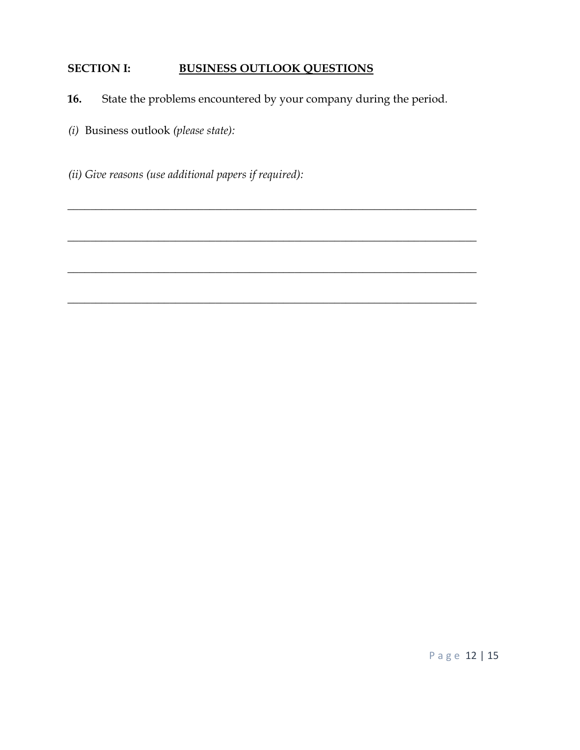#### **SECTION I: BUSINESS OUTLOOK QUESTIONS**

**16.** State the problems encountered by your company during the period*.* 

\_\_\_\_\_\_\_\_\_\_\_\_\_\_\_\_\_\_\_\_\_\_\_\_\_\_\_\_\_\_\_\_\_\_\_\_\_\_\_\_\_\_\_\_\_\_\_\_\_\_\_\_\_\_\_\_\_\_\_\_\_\_\_\_\_\_\_\_\_\_\_\_

\_\_\_\_\_\_\_\_\_\_\_\_\_\_\_\_\_\_\_\_\_\_\_\_\_\_\_\_\_\_\_\_\_\_\_\_\_\_\_\_\_\_\_\_\_\_\_\_\_\_\_\_\_\_\_\_\_\_\_\_\_\_\_\_\_\_\_\_\_\_\_\_

\_\_\_\_\_\_\_\_\_\_\_\_\_\_\_\_\_\_\_\_\_\_\_\_\_\_\_\_\_\_\_\_\_\_\_\_\_\_\_\_\_\_\_\_\_\_\_\_\_\_\_\_\_\_\_\_\_\_\_\_\_\_\_\_\_\_\_\_\_\_\_\_

**\_\_\_\_\_\_\_\_\_\_\_\_\_\_\_\_\_\_\_\_\_\_\_\_\_\_\_\_\_\_\_\_\_\_\_\_\_\_\_\_\_\_\_\_\_\_\_\_\_\_\_\_\_\_\_\_\_\_\_\_\_\_\_\_\_\_\_\_\_\_\_\_** 

- *(i)* Business outlook *(please state):*
- *(ii) Give reasons (use additional papers if required):*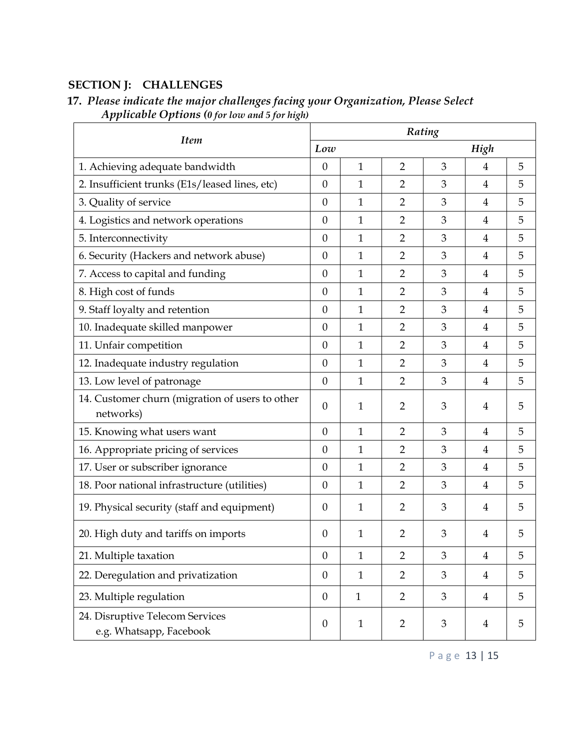#### **SECTION J: CHALLENGES**

| <b>Item</b>                                                  |                  | Rating       |                |   |                |   |  |  |
|--------------------------------------------------------------|------------------|--------------|----------------|---|----------------|---|--|--|
|                                                              |                  | Low          |                |   | High           |   |  |  |
| 1. Achieving adequate bandwidth                              | $\theta$         | $\mathbf{1}$ | $\overline{2}$ | 3 | $\overline{4}$ | 5 |  |  |
| 2. Insufficient trunks (E1s/leased lines, etc)               |                  | 1            | $\overline{2}$ | 3 | 4              | 5 |  |  |
| 3. Quality of service                                        |                  | 1            | $\overline{2}$ | 3 | 4              | 5 |  |  |
| 4. Logistics and network operations                          | $\boldsymbol{0}$ | 1            | $\overline{2}$ | 3 | 4              | 5 |  |  |
| 5. Interconnectivity                                         | $\boldsymbol{0}$ | 1            | $\overline{2}$ | 3 | 4              | 5 |  |  |
| 6. Security (Hackers and network abuse)                      |                  | 1            | $\overline{2}$ | 3 | 4              | 5 |  |  |
| 7. Access to capital and funding                             |                  | $\mathbf{1}$ | $\overline{2}$ | 3 | $\overline{4}$ | 5 |  |  |
| 8. High cost of funds                                        |                  | $\mathbf{1}$ | $\overline{2}$ | 3 | $\overline{4}$ | 5 |  |  |
| 9. Staff loyalty and retention                               | $\boldsymbol{0}$ | $\mathbf{1}$ | $\overline{2}$ | 3 | 4              | 5 |  |  |
| 10. Inadequate skilled manpower                              | $\theta$         | 1            | $\overline{2}$ | 3 | 4              | 5 |  |  |
| 11. Unfair competition                                       | $\boldsymbol{0}$ | $\mathbf{1}$ | $\overline{2}$ | 3 | 4              | 5 |  |  |
| 12. Inadequate industry regulation                           | $\boldsymbol{0}$ | 1            | $\overline{2}$ | 3 | 4              | 5 |  |  |
| 13. Low level of patronage                                   | $\theta$         | 1            | $\overline{2}$ | 3 | 4              | 5 |  |  |
| 14. Customer churn (migration of users to other<br>networks) | $\boldsymbol{0}$ | 1            | $\overline{2}$ | 3 | 4              | 5 |  |  |
| 15. Knowing what users want                                  | $\boldsymbol{0}$ | 1            | $\overline{2}$ | 3 | $\overline{4}$ | 5 |  |  |
| 16. Appropriate pricing of services                          | $\boldsymbol{0}$ | $\mathbf{1}$ | $\overline{2}$ | 3 | $\overline{4}$ | 5 |  |  |
| 17. User or subscriber ignorance                             | $\boldsymbol{0}$ | $\mathbf{1}$ | $\overline{2}$ | 3 | 4              | 5 |  |  |
| 18. Poor national infrastructure (utilities)                 | $\boldsymbol{0}$ | 1            | $\overline{2}$ | 3 | 4              | 5 |  |  |
| 19. Physical security (staff and equipment)                  | $\boldsymbol{0}$ | 1            | $\overline{2}$ | 3 | 4              | 5 |  |  |
| 20. High duty and tariffs on imports                         | $\theta$         | 1            | $\overline{2}$ | 3 | 4              | 5 |  |  |
| 21. Multiple taxation                                        | $\boldsymbol{0}$ | $\mathbf{1}$ | $\overline{2}$ | 3 | 4              | 5 |  |  |
| 22. Deregulation and privatization                           |                  | $\mathbf{1}$ | $\overline{2}$ | 3 | $\overline{4}$ | 5 |  |  |
| 23. Multiple regulation                                      |                  | $\mathbf{1}$ | $\overline{2}$ | 3 | 4              | 5 |  |  |
| 24. Disruptive Telecom Services<br>e.g. Whatsapp, Facebook   | $\boldsymbol{0}$ | $\mathbf{1}$ | $\overline{2}$ | 3 | $\overline{4}$ | 5 |  |  |

#### **17.** *Please indicate the major challenges facing your Organization, Please Select Applicable Options (0 for low and 5 for high)*

P a g e 13 | 15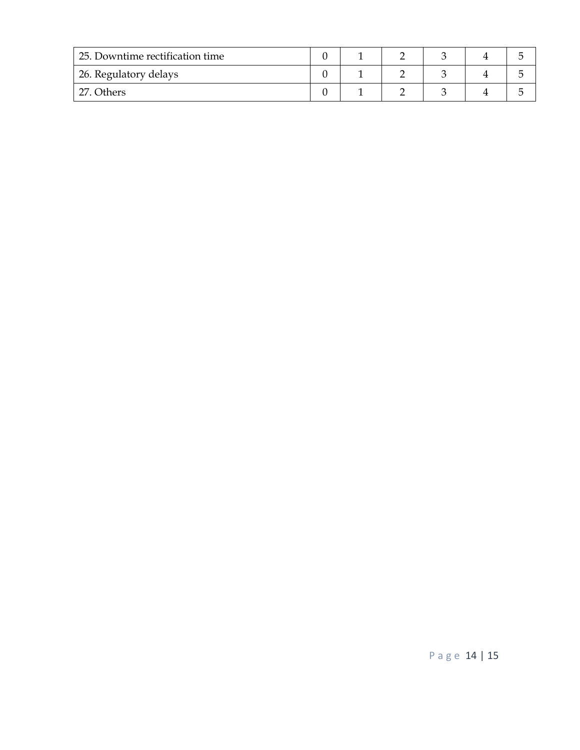| 25. Downtime rectification time |  |  |  |  |
|---------------------------------|--|--|--|--|
| 26. Regulatory delays           |  |  |  |  |
| <b>Others</b>                   |  |  |  |  |